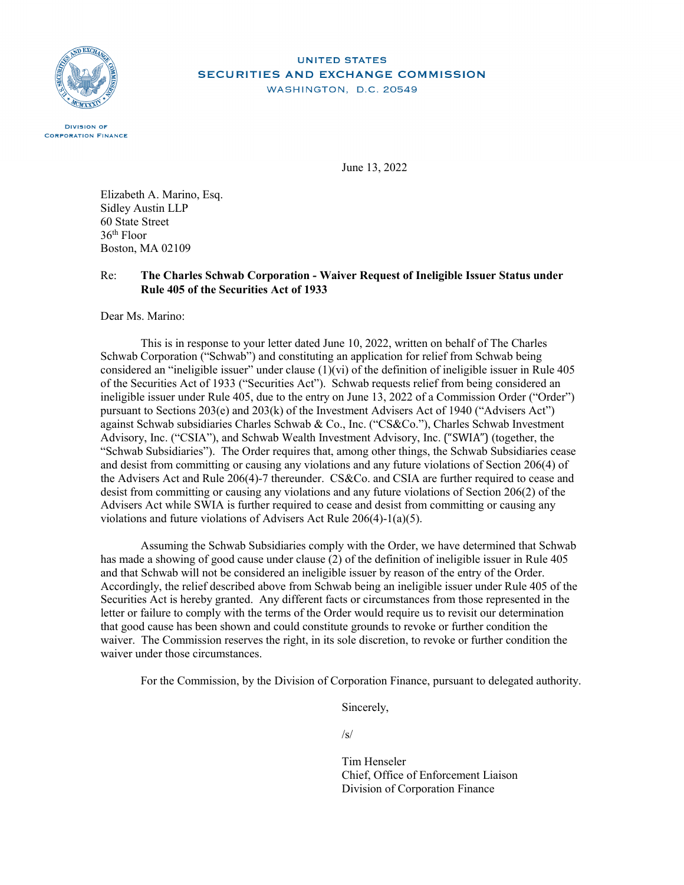

# **UNITED STATES SECURITIES AND EXCHANGE COMMISSION**

WASHINGTON, D.C. 20549

**DIVISION OF CORPORATION FINANCE** 

June 13, 2022

Elizabeth A. Marino, Esq. Sidley Austin LLP 60 State Street 36th Floor Boston, MA 02109

#### Re: **The Charles Schwab Corporation - Waiver Request of Ineligible Issuer Status under Rule 405 of the Securities Act of 1933**

Dear Ms. Marino:

This is in response to your letter dated June 10, 2022, written on behalf of The Charles Schwab Corporation ("Schwab") and constituting an application for relief from Schwab being considered an "ineligible issuer" under clause  $(1)(vi)$  of the definition of ineligible issuer in Rule 405 of the Securities Act of 1933 ("Securities Act"). Schwab requests relief from being considered an ineligible issuer under Rule 405, due to the entry on June 13, 2022 of a Commission Order ("Order") pursuant to Sections 203(e) and 203(k) of the Investment Advisers Act of 1940 ("Advisers Act") against Schwab subsidiaries Charles Schwab & Co., Inc. ("CS&Co."), Charles Schwab Investment Advisory, Inc. ("CSIA"), and Schwab Wealth Investment Advisory, Inc. ("SWIA") (together, the "Schwab Subsidiaries"). The Order requires that, among other things, the Schwab Subsidiaries cease and desist from committing or causing any violations and any future violations of Section 206(4) of the Advisers Act and Rule 206(4)-7 thereunder. CS&Co. and CSIA are further required to cease and desist from committing or causing any violations and any future violations of Section 206(2) of the Advisers Act while SWIA is further required to cease and desist from committing or causing any violations and future violations of Advisers Act Rule 206(4)-1(a)(5).

Assuming the Schwab Subsidiaries comply with the Order, we have determined that Schwab has made a showing of good cause under clause (2) of the definition of ineligible issuer in Rule 405 and that Schwab will not be considered an ineligible issuer by reason of the entry of the Order. Accordingly, the relief described above from Schwab being an ineligible issuer under Rule 405 of the Securities Act is hereby granted. Any different facts or circumstances from those represented in the letter or failure to comply with the terms of the Order would require us to revisit our determination that good cause has been shown and could constitute grounds to revoke or further condition the waiver. The Commission reserves the right, in its sole discretion, to revoke or further condition the waiver under those circumstances.

For the Commission, by the Division of Corporation Finance, pursuant to delegated authority.

Sincerely,

 $\sqrt{s}$ 

Tim Henseler Chief, Office of Enforcement Liaison Division of Corporation Finance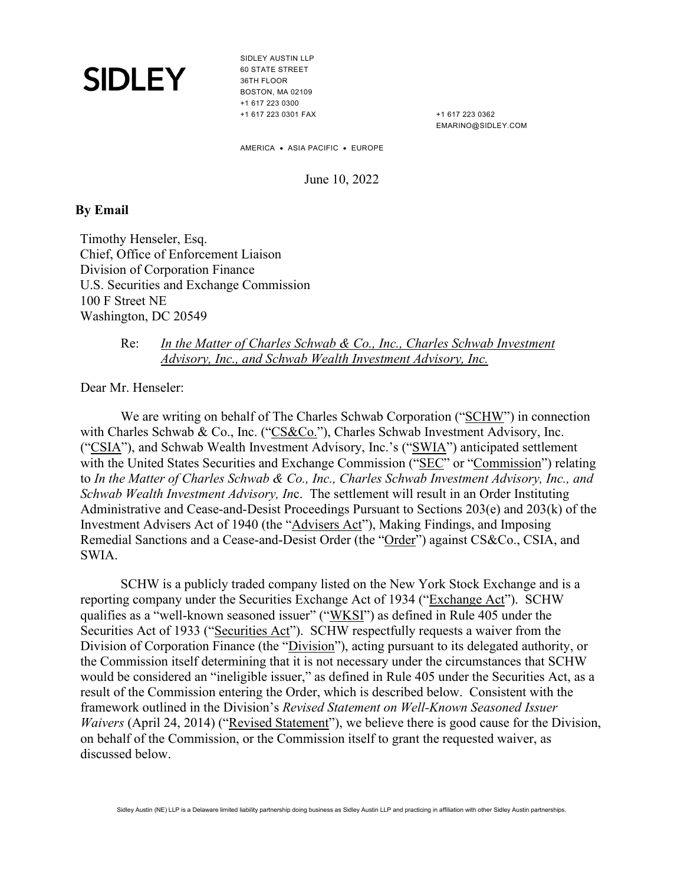SIDLEY AUSTIN LLP 60 STATE STREET 36TH FLOOR BOSTON, MA 02109 +1 617 223 0300 +1 617 223 0301 FAX

+1 617 223 0362 EMARINO@SIDLEY.COM

AMERICA • ASIA PACIFIC • EUROPE

June 10, 2022

#### **By Email**

Timothy Henseler, Esq. Chief, Office of Enforcement Liaison Division of Corporation Finance U.S. Securities and Exchange Commission 100 F Street NE Washington, DC 20549

### Re: *In the Matter of Charles Schwab & Co., Inc., Charles Schwab Investment Advisory, Inc., and Schwab Wealth Investment Advisory, Inc.*

Dear Mr. Henseler:

We are writing on behalf of The Charles Schwab Corporation ("SCHW") in connection with Charles Schwab & Co., Inc. ("CS&Co."), Charles Schwab Investment Advisory, Inc. ("CSIA"), and Schwab Wealth Investment Advisory, Inc.'s ("SWIA") anticipated settlement with the United States Securities and Exchange Commission ("SEC" or "Commission") relating to *In the Matter of Charles Schwab & Co., Inc., Charles Schwab Investment Advisory, Inc., and Schwab Wealth Investment Advisory, In*c. The settlement will result in an Order Instituting Administrative and Cease-and-Desist Proceedings Pursuant to Sections 203(e) and 203(k) of the Investment Advisers Act of 1940 (the "Advisers Act"), Making Findings, and Imposing Remedial Sanctions and a Cease-and-Desist Order (the "Order") against CS&Co., CSIA, and SWIA.

SCHW is a publicly traded company listed on the New York Stock Exchange and is a reporting company under the Securities Exchange Act of 1934 ("Exchange Act"). SCHW qualifies as a "well-known seasoned issuer" ("WKSI") as defined in Rule 405 under the Securities Act of 1933 ("Securities Act"). SCHW respectfully requests a waiver from the Division of Corporation Finance (the "Division"), acting pursuant to its delegated authority, or the Commission itself determining that it is not necessary under the circumstances that SCHW would be considered an "ineligible issuer," as defined in Rule 405 under the Securities Act, as a result of the Commission entering the Order, which is described below. Consistent with the framework outlined in the Division's *Revised Statement on Well-Known Seasoned Issuer Waivers* (April 24, 2014) ("Revised Statement"), we believe there is good cause for the Division, on behalf of the Commission, or the Commission itself to grant the requested waiver, as discussed below.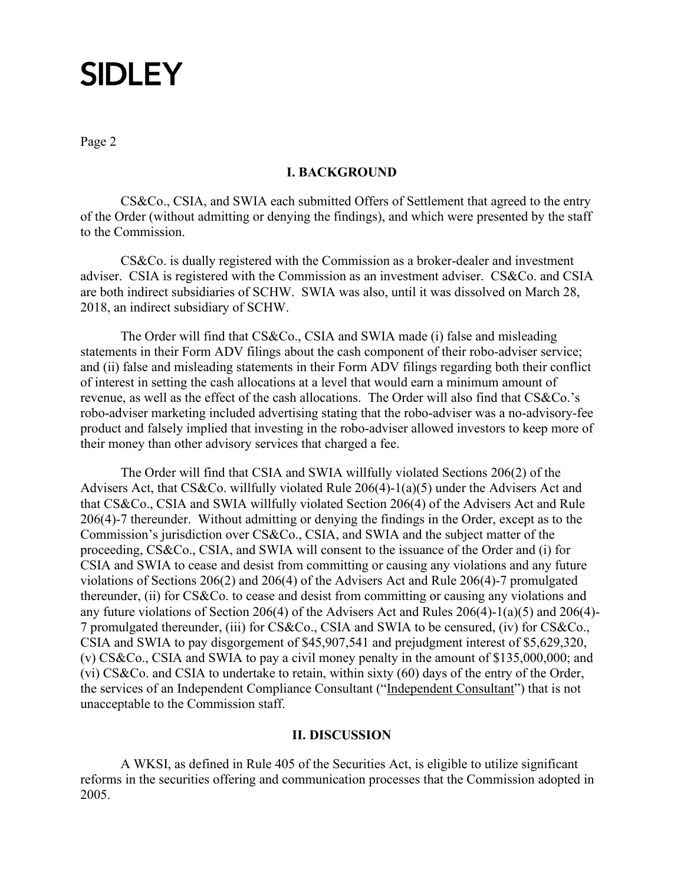Page 2

#### **I. BACKGROUND**

CS&Co., CSIA, and SWIA each submitted Offers of Settlement that agreed to the entry of the Order (without admitting or denying the findings), and which were presented by the staff to the Commission.

CS&Co. is dually registered with the Commission as a broker-dealer and investment adviser. CSIA is registered with the Commission as an investment adviser. CS&Co. and CSIA are both indirect subsidiaries of SCHW. SWIA was also, until it was dissolved on March 28, 2018, an indirect subsidiary of SCHW.

The Order will find that CS&Co., CSIA and SWIA made (i) false and misleading statements in their Form ADV filings about the cash component of their robo-adviser service; and (ii) false and misleading statements in their Form ADV filings regarding both their conflict of interest in setting the cash allocations at a level that would earn a minimum amount of revenue, as well as the effect of the cash allocations. The Order will also find that CS&Co.'s robo-adviser marketing included advertising stating that the robo-adviser was a no-advisory-fee product and falsely implied that investing in the robo-adviser allowed investors to keep more of their money than other advisory services that charged a fee.

The Order will find that CSIA and SWIA willfully violated Sections 206(2) of the Advisers Act, that CS&Co. willfully violated Rule 206(4)-1(a)(5) under the Advisers Act and that CS&Co., CSIA and SWIA willfully violated Section 206(4) of the Advisers Act and Rule 206(4)-7 thereunder. Without admitting or denying the findings in the Order, except as to the Commission's jurisdiction over CS&Co., CSIA, and SWIA and the subject matter of the proceeding, CS&Co., CSIA, and SWIA will consent to the issuance of the Order and (i) for CSIA and SWIA to cease and desist from committing or causing any violations and any future violations of Sections 206(2) and 206(4) of the Advisers Act and Rule 206(4)-7 promulgated thereunder, (ii) for CS&Co. to cease and desist from committing or causing any violations and any future violations of Section 206(4) of the Advisers Act and Rules 206(4)-1(a)(5) and 206(4)- 7 promulgated thereunder, (iii) for CS&Co., CSIA and SWIA to be censured, (iv) for CS&Co., CSIA and SWIA to pay disgorgement of \$45,907,541 and prejudgment interest of \$5,629,320, (v) CS&Co., CSIA and SWIA to pay a civil money penalty in the amount of \$135,000,000; and (vi) CS&Co. and CSIA to undertake to retain, within sixty (60) days of the entry of the Order, the services of an Independent Compliance Consultant ("Independent Consultant") that is not unacceptable to the Commission staff.

#### **II. DISCUSSION**

A WKSI, as defined in Rule 405 of the Securities Act, is eligible to utilize significant reforms in the securities offering and communication processes that the Commission adopted in 2005.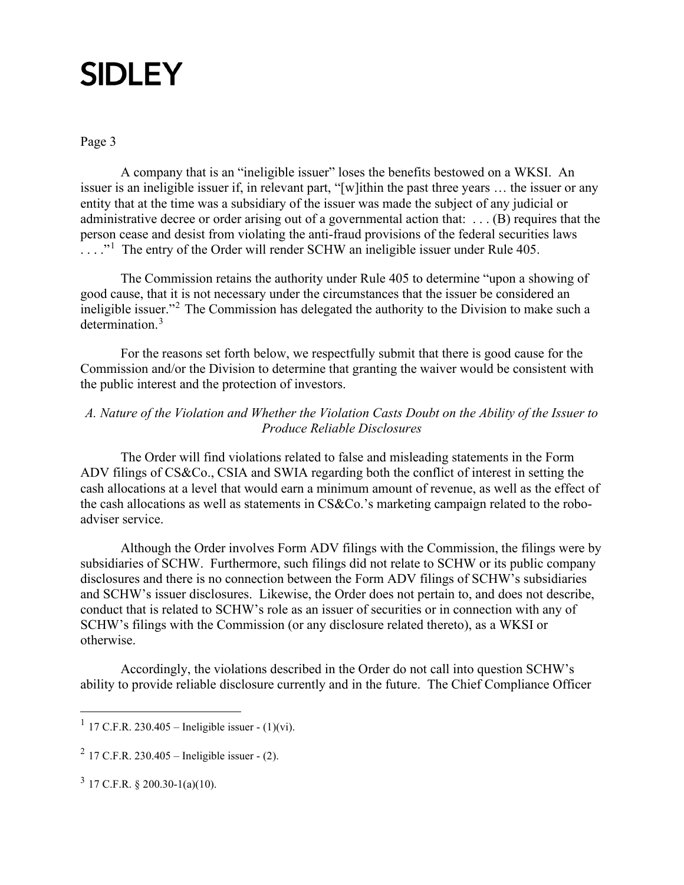Page 3

A company that is an "ineligible issuer" loses the benefits bestowed on a WKSI. An issuer is an ineligible issuer if, in relevant part, "[w]ithin the past three years … the issuer or any entity that at the time was a subsidiary of the issuer was made the subject of any judicial or administrative decree or order arising out of a governmental action that: . . . (B) requires that the person cease and desist from violating the anti-fraud provisions of the federal securities laws  $\dots$ ."<sup>[1](#page-3-0)</sup> The entry of the Order will render SCHW an ineligible issuer under Rule 405.

The Commission retains the authority under Rule 405 to determine "upon a showing of good cause, that it is not necessary under the circumstances that the issuer be considered an ineligible issuer."[2](#page-3-1) The Commission has delegated the authority to the Division to make such a determination.<sup>[3](#page-3-2)</sup>

For the reasons set forth below, we respectfully submit that there is good cause for the Commission and/or the Division to determine that granting the waiver would be consistent with the public interest and the protection of investors.

## *A. Nature of the Violation and Whether the Violation Casts Doubt on the Ability of the Issuer to Produce Reliable Disclosures*

The Order will find violations related to false and misleading statements in the Form ADV filings of CS&Co., CSIA and SWIA regarding both the conflict of interest in setting the cash allocations at a level that would earn a minimum amount of revenue, as well as the effect of the cash allocations as well as statements in CS&Co.'s marketing campaign related to the roboadviser service.

Although the Order involves Form ADV filings with the Commission, the filings were by subsidiaries of SCHW. Furthermore, such filings did not relate to SCHW or its public company disclosures and there is no connection between the Form ADV filings of SCHW's subsidiaries and SCHW's issuer disclosures. Likewise, the Order does not pertain to, and does not describe, conduct that is related to SCHW's role as an issuer of securities or in connection with any of SCHW's filings with the Commission (or any disclosure related thereto), as a WKSI or otherwise.

Accordingly, the violations described in the Order do not call into question SCHW's ability to provide reliable disclosure currently and in the future. The Chief Compliance Officer

<span id="page-3-0"></span><sup>&</sup>lt;sup>1</sup> 17 C.F.R. 230.405 – Ineligible issuer -  $(1)(vi)$ .

<span id="page-3-1"></span><sup>&</sup>lt;sup>2</sup> 17 C.F.R. 230.405 – Ineligible issuer -  $(2)$ .

<span id="page-3-2"></span> $3$  17 C.F.R. § 200.30-1(a)(10).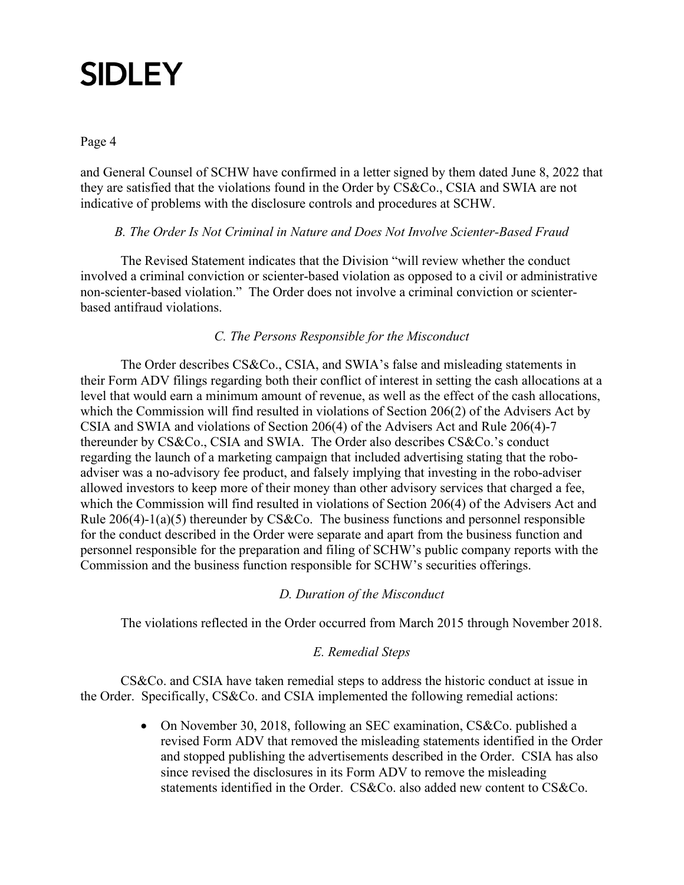### Page 4

and General Counsel of SCHW have confirmed in a letter signed by them dated June 8, 2022 that they are satisfied that the violations found in the Order by CS&Co., CSIA and SWIA are not indicative of problems with the disclosure controls and procedures at SCHW.

### *B. The Order Is Not Criminal in Nature and Does Not Involve Scienter-Based Fraud*

The Revised Statement indicates that the Division "will review whether the conduct involved a criminal conviction or scienter-based violation as opposed to a civil or administrative non-scienter-based violation." The Order does not involve a criminal conviction or scienterbased antifraud violations.

## *C. The Persons Responsible for the Misconduct*

The Order describes CS&Co., CSIA, and SWIA's false and misleading statements in their Form ADV filings regarding both their conflict of interest in setting the cash allocations at a level that would earn a minimum amount of revenue, as well as the effect of the cash allocations, which the Commission will find resulted in violations of Section 206(2) of the Advisers Act by CSIA and SWIA and violations of Section 206(4) of the Advisers Act and Rule 206(4)-7 thereunder by CS&Co., CSIA and SWIA. The Order also describes CS&Co.'s conduct regarding the launch of a marketing campaign that included advertising stating that the roboadviser was a no-advisory fee product, and falsely implying that investing in the robo-adviser allowed investors to keep more of their money than other advisory services that charged a fee, which the Commission will find resulted in violations of Section 206(4) of the Advisers Act and Rule 206(4)-1(a)(5) thereunder by CS&Co. The business functions and personnel responsible for the conduct described in the Order were separate and apart from the business function and personnel responsible for the preparation and filing of SCHW's public company reports with the Commission and the business function responsible for SCHW's securities offerings.

### *D. Duration of the Misconduct*

The violations reflected in the Order occurred from March 2015 through November 2018.

## *E. Remedial Steps*

CS&Co. and CSIA have taken remedial steps to address the historic conduct at issue in the Order. Specifically, CS&Co. and CSIA implemented the following remedial actions:

> • On November 30, 2018, following an SEC examination, CS&Co. published a revised Form ADV that removed the misleading statements identified in the Order and stopped publishing the advertisements described in the Order. CSIA has also since revised the disclosures in its Form ADV to remove the misleading statements identified in the Order. CS&Co. also added new content to CS&Co.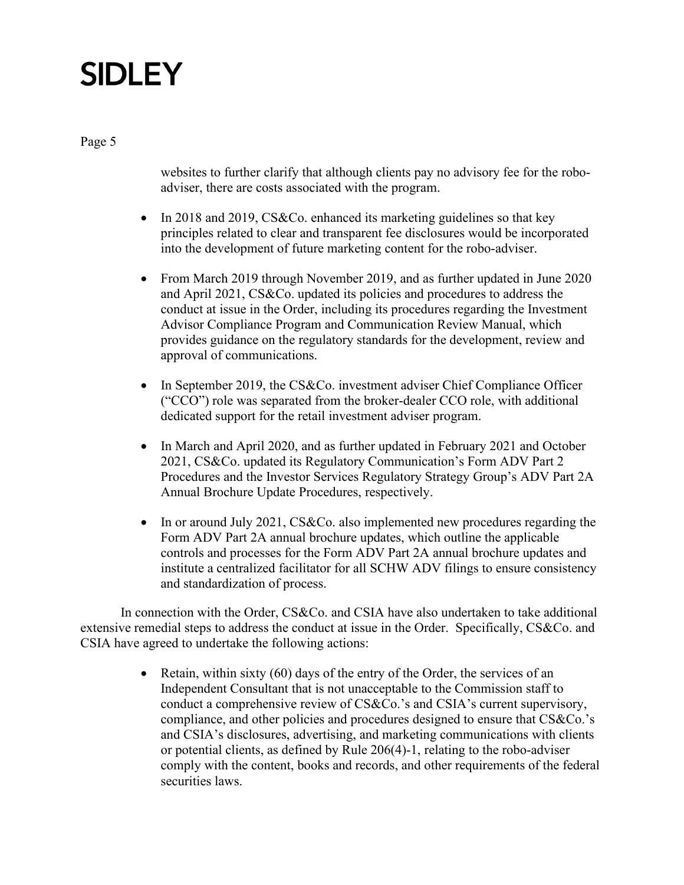Page 5

websites to further clarify that although clients pay no advisory fee for the roboadviser, there are costs associated with the program.

- In 2018 and 2019, CS&Co. enhanced its marketing guidelines so that key principles related to clear and transparent fee disclosures would be incorporated into the development of future marketing content for the robo-adviser.
- From March 2019 through November 2019, and as further updated in June 2020 and April 2021, CS&Co. updated its policies and procedures to address the conduct at issue in the Order, including its procedures regarding the Investment Advisor Compliance Program and Communication Review Manual, which provides guidance on the regulatory standards for the development, review and approval of communications.
- In September 2019, the CS&Co. investment adviser Chief Compliance Officer ("CCO") role was separated from the broker-dealer CCO role, with additional dedicated support for the retail investment adviser program.
- In March and April 2020, and as further updated in February 2021 and October 2021, CS&Co. updated its Regulatory Communication's Form ADV Part 2 Procedures and the Investor Services Regulatory Strategy Group's ADV Part 2A Annual Brochure Update Procedures, respectively.
- In or around July 2021, CS&Co. also implemented new procedures regarding the Form ADV Part 2A annual brochure updates, which outline the applicable controls and processes for the Form ADV Part 2A annual brochure updates and institute a centralized facilitator for all SCHW ADV filings to ensure consistency and standardization of process.

In connection with the Order, CS&Co. and CSIA have also undertaken to take additional extensive remedial steps to address the conduct at issue in the Order. Specifically, CS&Co. and CSIA have agreed to undertake the following actions:

> • Retain, within sixty (60) days of the entry of the Order, the services of an Independent Consultant that is not unacceptable to the Commission staff to conduct a comprehensive review of CS&Co.'s and CSIA's current supervisory, compliance, and other policies and procedures designed to ensure that CS&Co.'s and CSIA's disclosures, advertising, and marketing communications with clients or potential clients, as defined by Rule 206(4)-1, relating to the robo-adviser comply with the content, books and records, and other requirements of the federal securities laws.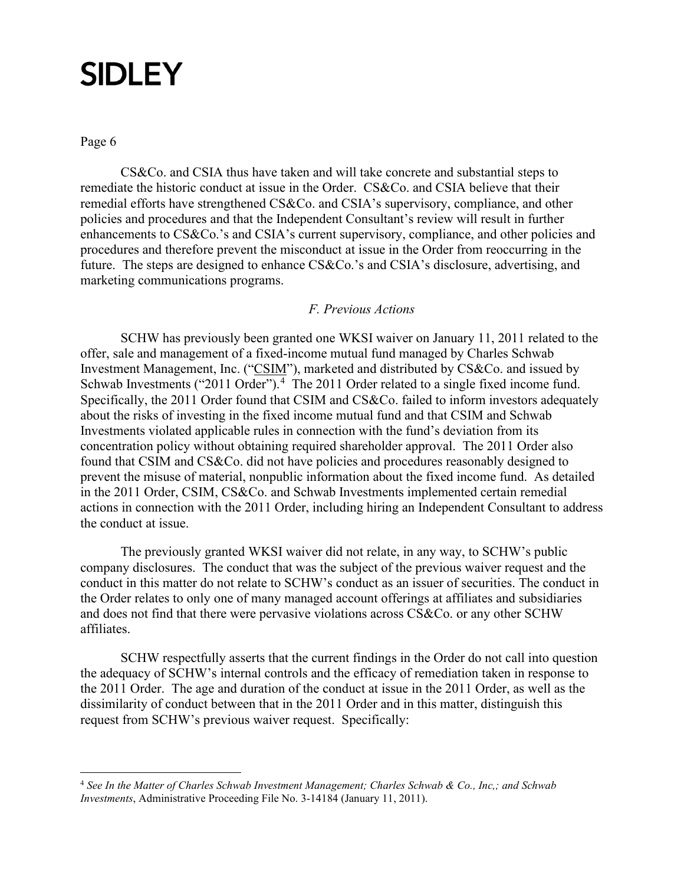Page 6

CS&Co. and CSIA thus have taken and will take concrete and substantial steps to remediate the historic conduct at issue in the Order. CS&Co. and CSIA believe that their remedial efforts have strengthened CS&Co. and CSIA's supervisory, compliance, and other policies and procedures and that the Independent Consultant's review will result in further enhancements to CS&Co.'s and CSIA's current supervisory, compliance, and other policies and procedures and therefore prevent the misconduct at issue in the Order from reoccurring in the future. The steps are designed to enhance CS&Co.'s and CSIA's disclosure, advertising, and marketing communications programs.

#### *F. Previous Actions*

SCHW has previously been granted one WKSI waiver on January 11, 2011 related to the offer, sale and management of a fixed-income mutual fund managed by Charles Schwab Investment Management, Inc. ("CSIM"), marketed and distributed by CS&Co. and issued by Schwab Investments ("2011 Order").<sup>[4](#page-6-0)</sup> The 2011 Order related to a single fixed income fund. Specifically, the 2011 Order found that CSIM and CS&Co. failed to inform investors adequately about the risks of investing in the fixed income mutual fund and that CSIM and Schwab Investments violated applicable rules in connection with the fund's deviation from its concentration policy without obtaining required shareholder approval. The 2011 Order also found that CSIM and CS&Co. did not have policies and procedures reasonably designed to prevent the misuse of material, nonpublic information about the fixed income fund. As detailed in the 2011 Order, CSIM, CS&Co. and Schwab Investments implemented certain remedial actions in connection with the 2011 Order, including hiring an Independent Consultant to address the conduct at issue.

The previously granted WKSI waiver did not relate, in any way, to SCHW's public company disclosures. The conduct that was the subject of the previous waiver request and the conduct in this matter do not relate to SCHW's conduct as an issuer of securities. The conduct in the Order relates to only one of many managed account offerings at affiliates and subsidiaries and does not find that there were pervasive violations across CS&Co. or any other SCHW affiliates.

SCHW respectfully asserts that the current findings in the Order do not call into question the adequacy of SCHW's internal controls and the efficacy of remediation taken in response to the 2011 Order. The age and duration of the conduct at issue in the 2011 Order, as well as the dissimilarity of conduct between that in the 2011 Order and in this matter, distinguish this request from SCHW's previous waiver request. Specifically:

<span id="page-6-0"></span><sup>4</sup> *See In the Matter of Charles Schwab Investment Management; Charles Schwab & Co., Inc,; and Schwab Investments*, Administrative Proceeding File No. 3-14184 (January 11, 2011).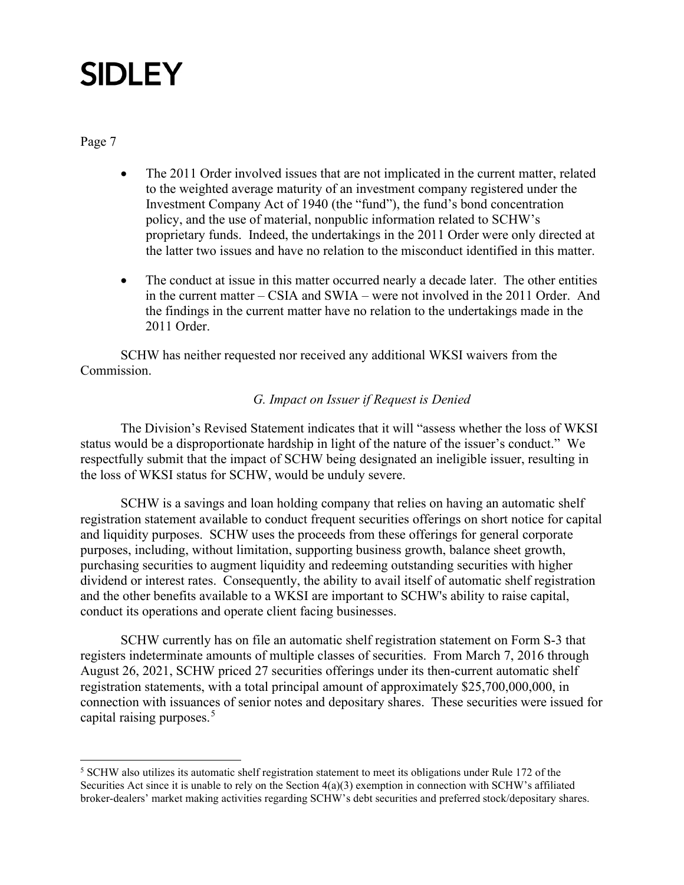Page 7

- The 2011 Order involved issues that are not implicated in the current matter, related to the weighted average maturity of an investment company registered under the Investment Company Act of 1940 (the "fund"), the fund's bond concentration policy, and the use of material, nonpublic information related to SCHW's proprietary funds. Indeed, the undertakings in the 2011 Order were only directed at the latter two issues and have no relation to the misconduct identified in this matter.
- The conduct at issue in this matter occurred nearly a decade later. The other entities in the current matter – CSIA and SWIA – were not involved in the 2011 Order. And the findings in the current matter have no relation to the undertakings made in the 2011 Order.

SCHW has neither requested nor received any additional WKSI waivers from the Commission.

### *G. Impact on Issuer if Request is Denied*

The Division's Revised Statement indicates that it will "assess whether the loss of WKSI status would be a disproportionate hardship in light of the nature of the issuer's conduct." We respectfully submit that the impact of SCHW being designated an ineligible issuer, resulting in the loss of WKSI status for SCHW, would be unduly severe.

SCHW is a savings and loan holding company that relies on having an automatic shelf registration statement available to conduct frequent securities offerings on short notice for capital and liquidity purposes. SCHW uses the proceeds from these offerings for general corporate purposes, including, without limitation, supporting business growth, balance sheet growth, purchasing securities to augment liquidity and redeeming outstanding securities with higher dividend or interest rates. Consequently, the ability to avail itself of automatic shelf registration and the other benefits available to a WKSI are important to SCHW's ability to raise capital, conduct its operations and operate client facing businesses.

SCHW currently has on file an automatic shelf registration statement on Form S-3 that registers indeterminate amounts of multiple classes of securities. From March 7, 2016 through August 26, 2021, SCHW priced 27 securities offerings under its then-current automatic shelf registration statements, with a total principal amount of approximately \$25,700,000,000, in connection with issuances of senior notes and depositary shares. These securities were issued for capital raising purposes. [5](#page-7-0)

<span id="page-7-0"></span><sup>&</sup>lt;sup>5</sup> SCHW also utilizes its automatic shelf registration statement to meet its obligations under Rule 172 of the Securities Act since it is unable to rely on the Section 4(a)(3) exemption in connection with SCHW's affiliated broker-dealers' market making activities regarding SCHW's debt securities and preferred stock/depositary shares.